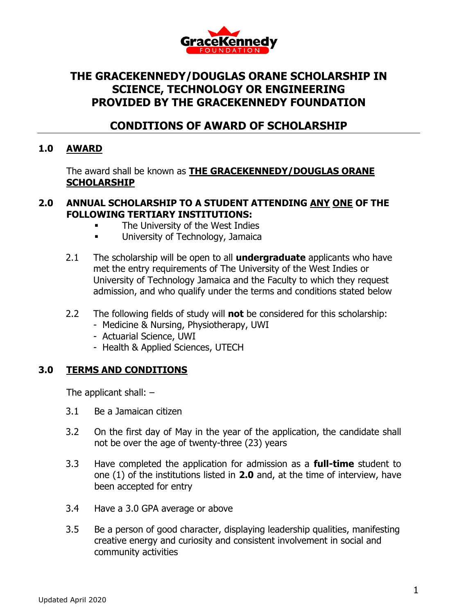

# **THE GRACEKENNEDY/DOUGLAS ORANE SCHOLARSHIP IN SCIENCE, TECHNOLOGY OR ENGINEERING PROVIDED BY THE GRACEKENNEDY FOUNDATION**

## **CONDITIONS OF AWARD OF SCHOLARSHIP**

### **1.0 AWARD**

The award shall be known as **THE GRACEKENNEDY/DOUGLAS ORANE SCHOLARSHIP**

#### **2.0 ANNUAL SCHOLARSHIP TO A STUDENT ATTENDING ANY ONE OF THE FOLLOWING TERTIARY INSTITUTIONS:**

- The University of the West Indies
- **University of Technology, Jamaica**
- 2.1 The scholarship will be open to all **undergraduate** applicants who have met the entry requirements of The University of the West Indies or University of Technology Jamaica and the Faculty to which they request admission, and who qualify under the terms and conditions stated below
- 2.2 The following fields of study will **not** be considered for this scholarship:
	- Medicine & Nursing, Physiotherapy, UWI
	- Actuarial Science, UWI
	- Health & Applied Sciences, UTECH

#### **3.0 TERMS AND CONDITIONS**

The applicant shall:  $-$ 

- 3.1 Be a Jamaican citizen
- 3.2 On the first day of May in the year of the application, the candidate shall not be over the age of twenty-three (23) years
- 3.3 Have completed the application for admission as a **full-time** student to one (1) of the institutions listed in **2.0** and, at the time of interview, have been accepted for entry
- 3.4 Have a 3.0 GPA average or above
- 3.5 Be a person of good character, displaying leadership qualities, manifesting creative energy and curiosity and consistent involvement in social and community activities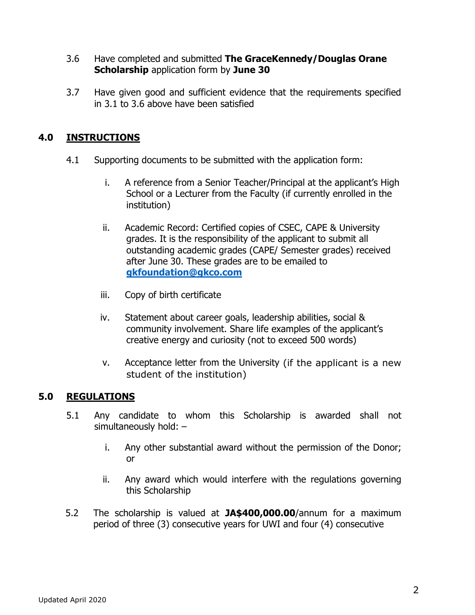#### 3.6 Have completed and submitted **The GraceKennedy/Douglas Orane Scholarship** application form by **June 30**

3.7 Have given good and sufficient evidence that the requirements specified in 3.1 to 3.6 above have been satisfied

## **4.0 INSTRUCTIONS**

- 4.1 Supporting documents to be submitted with the application form:
	- i. A reference from a Senior Teacher/Principal at the applicant's High School or a Lecturer from the Faculty (if currently enrolled in the institution)
	- ii. Academic Record: Certified copies of CSEC, CAPE & University grades. It is the responsibility of the applicant to submit all outstanding academic grades (CAPE/ Semester grades) received after June 30. These grades are to be emailed to **[gkfoundation@gkco.com](mailto:gkfoundation@gkco.com)**
	- iii. Copy of birth certificate
	- iv. Statement about career goals, leadership abilities, social & community involvement. Share life examples of the applicant's creative energy and curiosity (not to exceed 500 words)
	- v. Acceptance letter from the University (if the applicant is a new student of the institution)

#### **5.0 REGULATIONS**

- 5.1 Any candidate to whom this Scholarship is awarded shall not simultaneously hold: –
	- i. Any other substantial award without the permission of the Donor; or
	- ii. Any award which would interfere with the regulations governing this Scholarship
- 5.2 The scholarship is valued at **JA\$400,000.00**/annum for a maximum period of three (3) consecutive years for UWI and four (4) consecutive